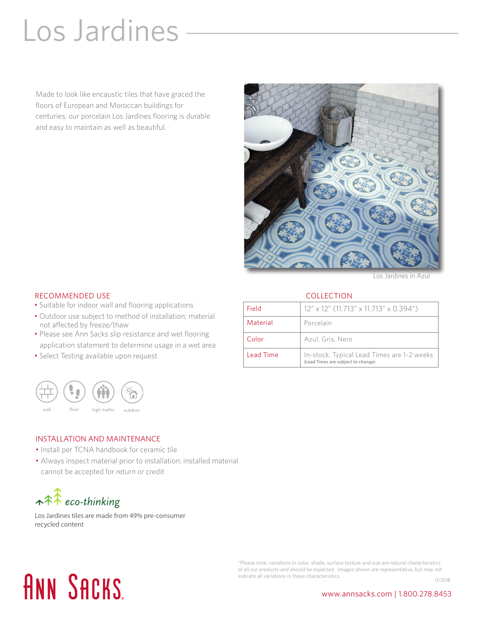### Los Jardines

Made to look like encaustic tiles that have graced the floors of European and Moroccan buildings for centuries, our porcelain Los Jardines flooring is durable and easy to maintain as well as beautiful.



Los Jardines in Azul

#### **COLLECTION**

|  | <b>RECOMMENDED USE</b> |  |
|--|------------------------|--|
|--|------------------------|--|

- Suitable for indoor wall and flooring applications
- Outdoor use subject to method of installation; material not affected by freeze/thaw
- Please see Ann Sacks slip resistance and wet flooring application statement to determine usage in a wet area
- Select Testing available upon request



#### INSTALLATION AND MAINTENANCE

- Install per TCNA handbook for ceramic tile
- Always inspect material prior to installation; installed material cannot be accepted for return or credit

 $\star \hat{\star}$  eco-thinking

Los Jardines tiles are made from 49% pre-consumer recycled content

## **ANN SACKS**

\*Please note: variations in color, shade, surface texture and size are natural characteristics of all our products and should be expected. Images shown are representative, but may not indicate all variations in these characteristics. 11/2018

www.annsacks.com | 1.800.278.8453

| Field            | 12" x 12" (11.713" x 11.713" x 0.394")                                           |  |
|------------------|----------------------------------------------------------------------------------|--|
| Material         | Porcelain                                                                        |  |
| Color            | Azul, Gris, Nero                                                                 |  |
| <b>Lead Time</b> | In-stock. Typical Lead Times are 1-2 weeks<br>(Lead Times are subject to change) |  |